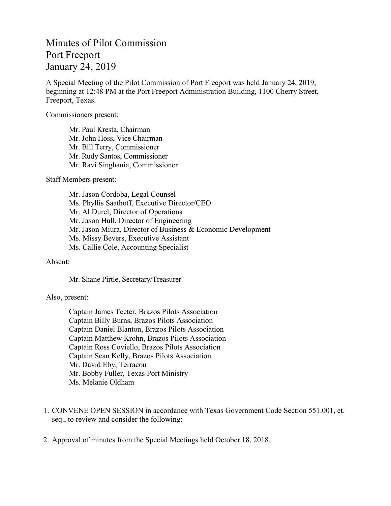## Minutes of Pilot Commission Port Freeport January 24, 2019

A Special Meeting of the Pilot Commission of Port Freeport was held January 24, 2019, beginning at 12:48 PM at the Port Freeport Administration Building, 1100 Cherry Street, Freeport, Texas.

Commissioners present:

Mr. Paul Kresta, Chairman Mr. John Hoss, Vice Chairman Mr. Bill Terry, Commissioner Mr. Rudy Santos, Commissioner Mr. Ravi Singhania, Commissioner

Staff Members present:

Mr. Jason Cordoba, Legal Counsel Ms. Phyllis Saathoff, Executive Director/CEO Mr. Al Durel, Director of Operations Mr. Jason Hull, Director of Engineering Mr. Jason Miura, Director of Business & Economic Development Ms. Missy Bevers, Executive Assistant Ms. Callie Cole, Accounting Specialist

## Absent:

Mr. Shane Pirtle, Secretary/Treasurer

## Also, present:

Captain James Teeter, Brazos Pilots Association Captain Billy Burns, Brazos Pilots Association Captain Daniel Blanton, Brazos Pilots Association Captain Matthew Krohn, Brazos Pilots Association Captain Ross Coviello, Brazos Pilots Association Captain Sean Kelly, Brazos Pilots Association Mr. David Eby, Terracon Mr. Bobby Fuller, Texas Port Ministry Ms. Melanie Oldham

- 1. CONVENE OPEN SESSION in accordance with Texas Government Code Section 551.001, et. seq., to review and consider the following:
- 2. Approval of minutes from the Special Meetings held October 18, 2018.